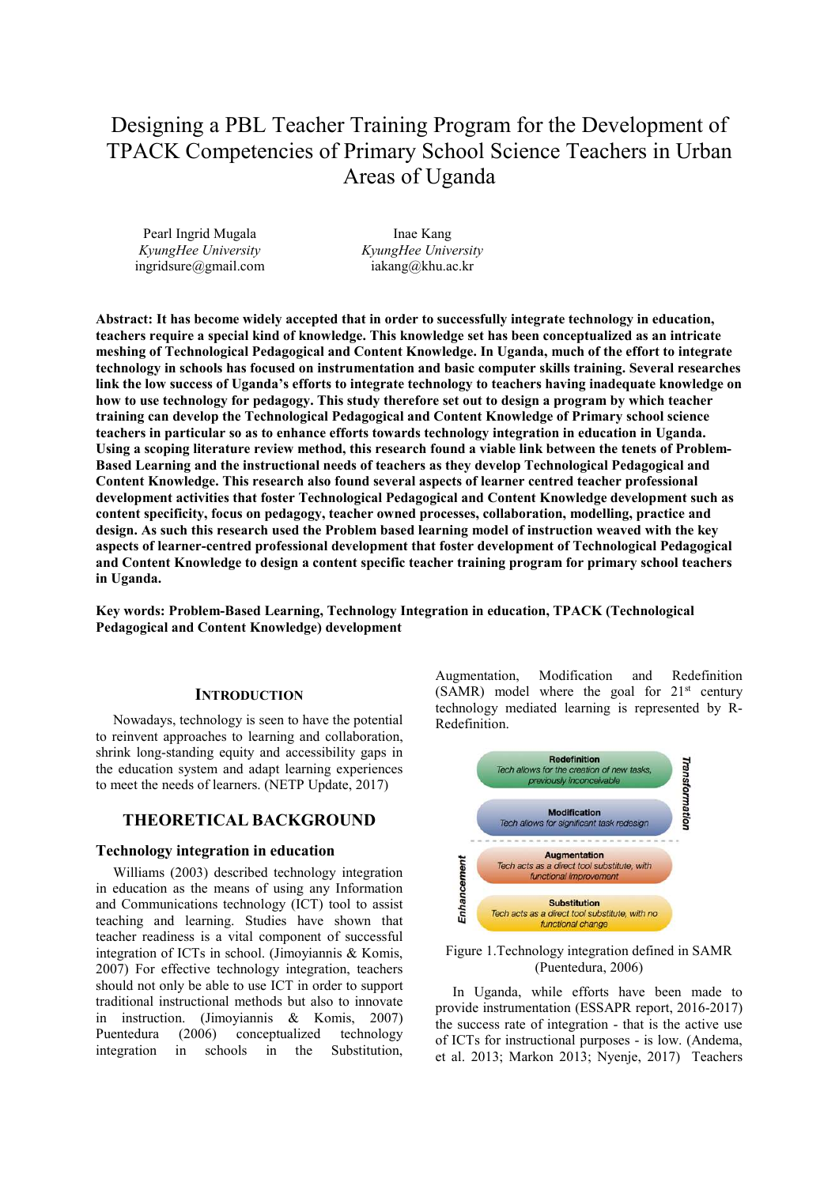# Designing a PBL Teacher Training Program for the Development of TPACK Competencies of Primary School Science Teachers in Urban Areas of Uganda

Pearl Ingrid Mugala *KyungHee University*  ingridsure@gmail.com

Inae Kang *KyungHee University*  iakang@khu.ac.kr

**Abstract: It has become widely accepted that in order to successfully integrate technology in education, teachers require a special kind of knowledge. This knowledge set has been conceptualized as an intricate meshing of Technological Pedagogical and Content Knowledge. In Uganda, much of the effort to integrate technology in schools has focused on instrumentation and basic computer skills training. Several researches link the low success of Uganda's efforts to integrate technology to teachers having inadequate knowledge on how to use technology for pedagogy. This study therefore set out to design a program by which teacher training can develop the Technological Pedagogical and Content Knowledge of Primary school science teachers in particular so as to enhance efforts towards technology integration in education in Uganda. Using a scoping literature review method, this research found a viable link between the tenets of Problem-Based Learning and the instructional needs of teachers as they develop Technological Pedagogical and Content Knowledge. This research also found several aspects of learner centred teacher professional development activities that foster Technological Pedagogical and Content Knowledge development such as content specificity, focus on pedagogy, teacher owned processes, collaboration, modelling, practice and design. As such this research used the Problem based learning model of instruction weaved with the key aspects of learner-centred professional development that foster development of Technological Pedagogical and Content Knowledge to design a content specific teacher training program for primary school teachers in Uganda.**

**Key words: Problem-Based Learning, Technology Integration in education, TPACK (Technological Pedagogical and Content Knowledge) development** 

#### **INTRODUCTION**

Nowadays, technology is seen to have the potential to reinvent approaches to learning and collaboration, shrink long-standing equity and accessibility gaps in the education system and adapt learning experiences to meet the needs of learners. (NETP Update, 2017)

# **THEORETICAL BACKGROUND**

#### **Technology integration in education**

Williams (2003) described technology integration in education as the means of using any Information and Communications technology (ICT) tool to assist teaching and learning. Studies have shown that teacher readiness is a vital component of successful integration of ICTs in school. (Jimoyiannis & Komis, 2007) For effective technology integration, teachers should not only be able to use ICT in order to support traditional instructional methods but also to innovate in instruction. (Jimoyiannis & Komis, 2007) Puentedura (2006) conceptualized technology integration in schools in the Substitution,

Augmentation, Modification and Redefinition (SAMR) model where the goal for  $21<sup>st</sup>$  century technology mediated learning is represented by R-Redefinition.



Figure 1.Technology integration defined in SAMR (Puentedura, 2006)

In Uganda, while efforts have been made to provide instrumentation (ESSAPR report, 2016-2017) the success rate of integration - that is the active use of ICTs for instructional purposes - is low. (Andema, et al. 2013; Markon 2013; Nyenje, 2017) Teachers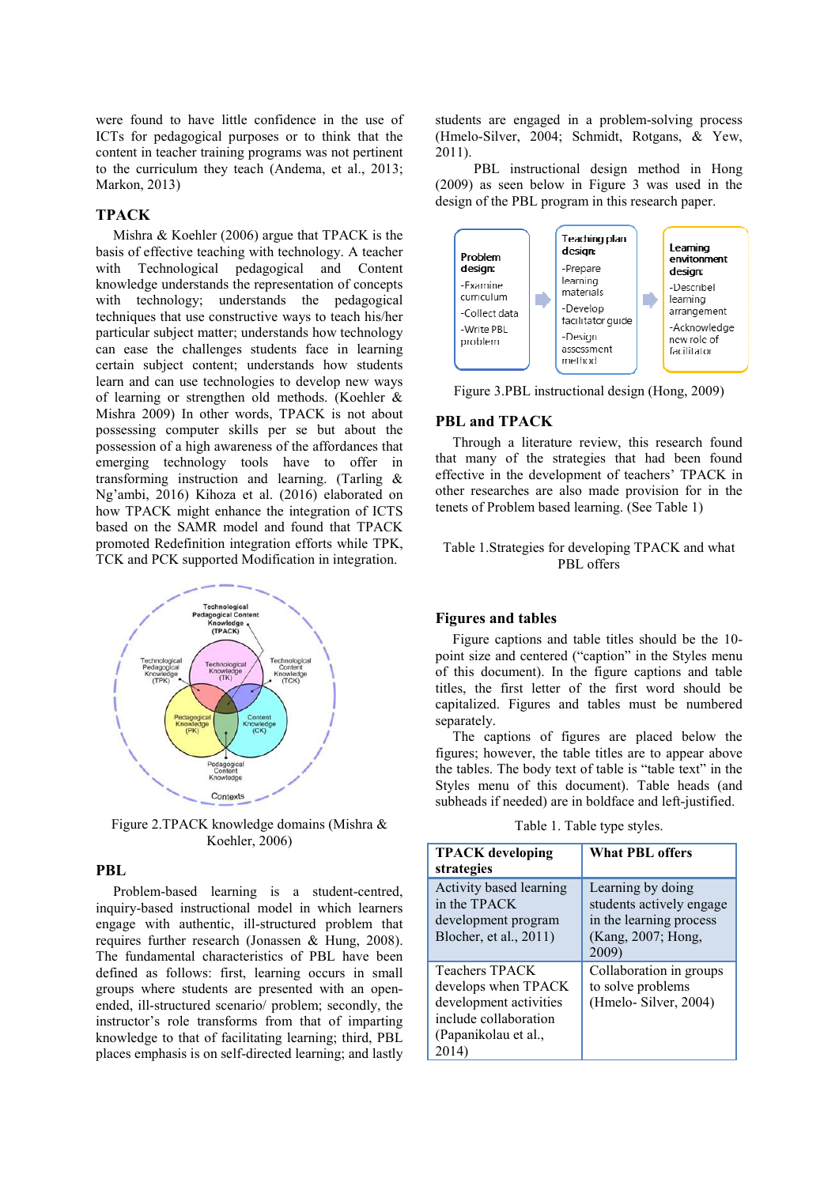were found to have little confidence in the use of ICTs for pedagogical purposes or to think that the content in teacher training programs was not pertinent to the curriculum they teach (Andema, et al., 2013; Markon, 2013)

#### **TPACK**

Mishra & Koehler (2006) argue that TPACK is the basis of effective teaching with technology. A teacher with Technological pedagogical and Content knowledge understands the representation of concepts with technology; understands the pedagogical techniques that use constructive ways to teach his/her particular subject matter; understands how technology can ease the challenges students face in learning certain subject content; understands how students learn and can use technologies to develop new ways of learning or strengthen old methods. (Koehler & Mishra 2009) In other words, TPACK is not about possessing computer skills per se but about the possession of a high awareness of the affordances that emerging technology tools have to offer in transforming instruction and learning. (Tarling & Ng'ambi, 2016) Kihoza et al. (2016) elaborated on how TPACK might enhance the integration of ICTS based on the SAMR model and found that TPACK promoted Redefinition integration efforts while TPK, TCK and PCK supported Modification in integration.



Figure 2.TPACK knowledge domains (Mishra & Koehler, 2006)

## **PBL**

Problem-based learning is a student-centred, inquiry-based instructional model in which learners engage with authentic, ill-structured problem that requires further research (Jonassen & Hung, 2008). The fundamental characteristics of PBL have been defined as follows: first, learning occurs in small groups where students are presented with an openended, ill-structured scenario/ problem; secondly, the instructor's role transforms from that of imparting knowledge to that of facilitating learning; third, PBL places emphasis is on self-directed learning; and lastly students are engaged in a problem-solving process (Hmelo-Silver, 2004; Schmidt, Rotgans, & Yew, 2011).

 PBL instructional design method in Hong (2009) as seen below in Figure 3 was used in the design of the PBL program in this research paper.



Figure 3.PBL instructional design (Hong, 2009)

#### **PBL and TPACK**

Through a literature review, this research found that many of the strategies that had been found effective in the development of teachers' TPACK in other researches are also made provision for in the tenets of Problem based learning. (See Table 1)

## Table 1.Strategies for developing TPACK and what PBL offers

#### **Figures and tables**

Figure captions and table titles should be the 10 point size and centered ("caption" in the Styles menu of this document). In the figure captions and table titles, the first letter of the first word should be capitalized. Figures and tables must be numbered separately.

The captions of figures are placed below the figures; however, the table titles are to appear above the tables. The body text of table is "table text" in the Styles menu of this document). Table heads (and subheads if needed) are in boldface and left-justified.

Table 1. Table type styles.

| <b>TPACK</b> developing<br>strategies                                                                                           | <b>What PBL offers</b>                                                                                  |
|---------------------------------------------------------------------------------------------------------------------------------|---------------------------------------------------------------------------------------------------------|
| Activity based learning<br>in the TPACK<br>development program<br>Blocher, et al., 2011)                                        | Learning by doing<br>students actively engage<br>in the learning process<br>(Kang, 2007; Hong,<br>2009) |
| <b>Teachers TPACK</b><br>develops when TPACK<br>development activities<br>include collaboration<br>(Papanikolau et al.,<br>2014 | Collaboration in groups<br>to solve problems<br>(Hmelo-Silver, 2004)                                    |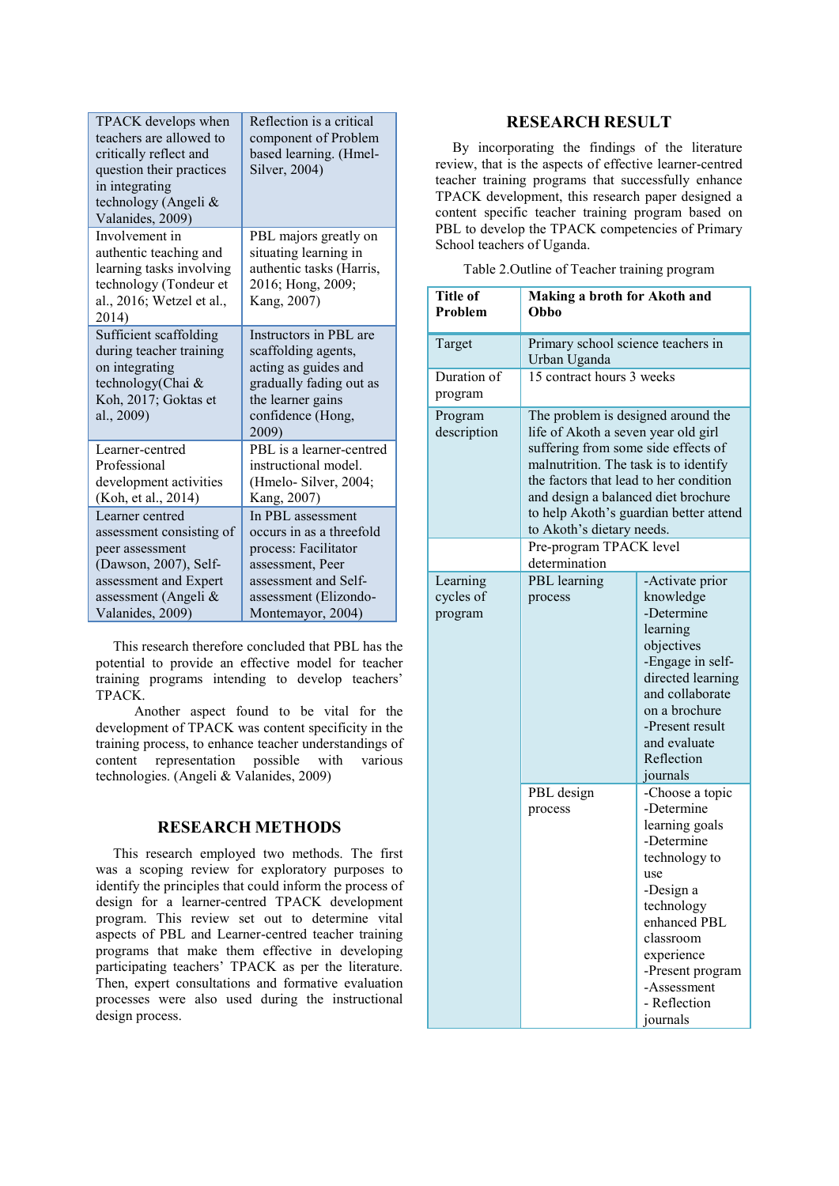| TPACK develops when<br>teachers are allowed to<br>critically reflect and<br>question their practices<br>in integrating<br>technology (Angeli &<br>Valanides, 2009) | Reflection is a critical<br>component of Problem<br>based learning. (Hmel-<br>Silver, 2004)                                                                     |
|--------------------------------------------------------------------------------------------------------------------------------------------------------------------|-----------------------------------------------------------------------------------------------------------------------------------------------------------------|
| Involvement in<br>authentic teaching and<br>learning tasks involving<br>technology (Tondeur et<br>al., 2016; Wetzel et al.,<br>2014)                               | PBL majors greatly on<br>situating learning in<br>authentic tasks (Harris,<br>2016; Hong, 2009;<br>Kang, 2007)                                                  |
| Sufficient scaffolding<br>during teacher training<br>on integrating<br>technology(Chai &<br>Koh, 2017; Goktas et<br>al., 2009)                                     | Instructors in PBL are<br>scaffolding agents,<br>acting as guides and<br>gradually fading out as<br>the learner gains<br>confidence (Hong,<br>2009)             |
| Learner-centred<br>Professional<br>development activities<br>(Koh, et al., 2014)                                                                                   | PBL is a learner-centred<br>instructional model.<br>(Hmelo- Silver, 2004;<br>Kang, 2007)                                                                        |
| Learner centred<br>assessment consisting of<br>peer assessment<br>(Dawson, 2007), Self-<br>assessment and Expert<br>assessment (Angeli &<br>Valanides, 2009)       | In PBL assessment<br>occurs in as a threefold<br>process: Facilitator<br>assessment, Peer<br>assessment and Self-<br>assessment (Elizondo-<br>Montemayor, 2004) |

This research therefore concluded that PBL has the potential to provide an effective model for teacher training programs intending to develop teachers' TPACK.

 Another aspect found to be vital for the development of TPACK was content specificity in the training process, to enhance teacher understandings of content representation possible with various technologies. (Angeli & Valanides, 2009)

# **RESEARCH METHODS**

This research employed two methods. The first was a scoping review for exploratory purposes to identify the principles that could inform the process of design for a learner-centred TPACK development program. This review set out to determine vital aspects of PBL and Learner-centred teacher training programs that make them effective in developing participating teachers' TPACK as per the literature. Then, expert consultations and formative evaluation processes were also used during the instructional design process.

# **RESEARCH RESULT**

By incorporating the findings of the literature review, that is the aspects of effective learner-centred teacher training programs that successfully enhance TPACK development, this research paper designed a content specific teacher training program based on PBL to develop the TPACK competencies of Primary School teachers of Uganda.

|  |  | Table 2. Outline of Teacher training program |
|--|--|----------------------------------------------|
|  |  |                                              |
|  |  |                                              |

| <b>Title of</b><br>Problem       | Making a broth for Akoth and<br>Obbo                                                                                                                                                                                                                                                                              |                                                                                                                                                                                                                            |  |
|----------------------------------|-------------------------------------------------------------------------------------------------------------------------------------------------------------------------------------------------------------------------------------------------------------------------------------------------------------------|----------------------------------------------------------------------------------------------------------------------------------------------------------------------------------------------------------------------------|--|
| Target                           | Primary school science teachers in<br>Urban Uganda                                                                                                                                                                                                                                                                |                                                                                                                                                                                                                            |  |
| Duration of<br>program           | 15 contract hours 3 weeks                                                                                                                                                                                                                                                                                         |                                                                                                                                                                                                                            |  |
| Program<br>description           | The problem is designed around the<br>life of Akoth a seven year old girl<br>suffering from some side effects of<br>malnutrition. The task is to identify<br>the factors that lead to her condition<br>and design a balanced diet brochure<br>to help Akoth's guardian better attend<br>to Akoth's dietary needs. |                                                                                                                                                                                                                            |  |
|                                  | Pre-program TPACK level<br>determination                                                                                                                                                                                                                                                                          |                                                                                                                                                                                                                            |  |
| Learning<br>cycles of<br>program | PBL learning<br>process                                                                                                                                                                                                                                                                                           | -Activate prior<br>knowledge<br>-Determine<br>learning<br>objectives<br>-Engage in self-<br>directed learning<br>and collaborate<br>on a brochure<br>-Present result<br>and evaluate<br>Reflection<br>journals             |  |
|                                  | PBL design<br>process                                                                                                                                                                                                                                                                                             | -Choose a topic<br>-Determine<br>learning goals<br>-Determine<br>technology to<br>use<br>-Design a<br>technology<br>enhanced PBL<br>classroom<br>experience<br>-Present program<br>-Assessment<br>- Reflection<br>journals |  |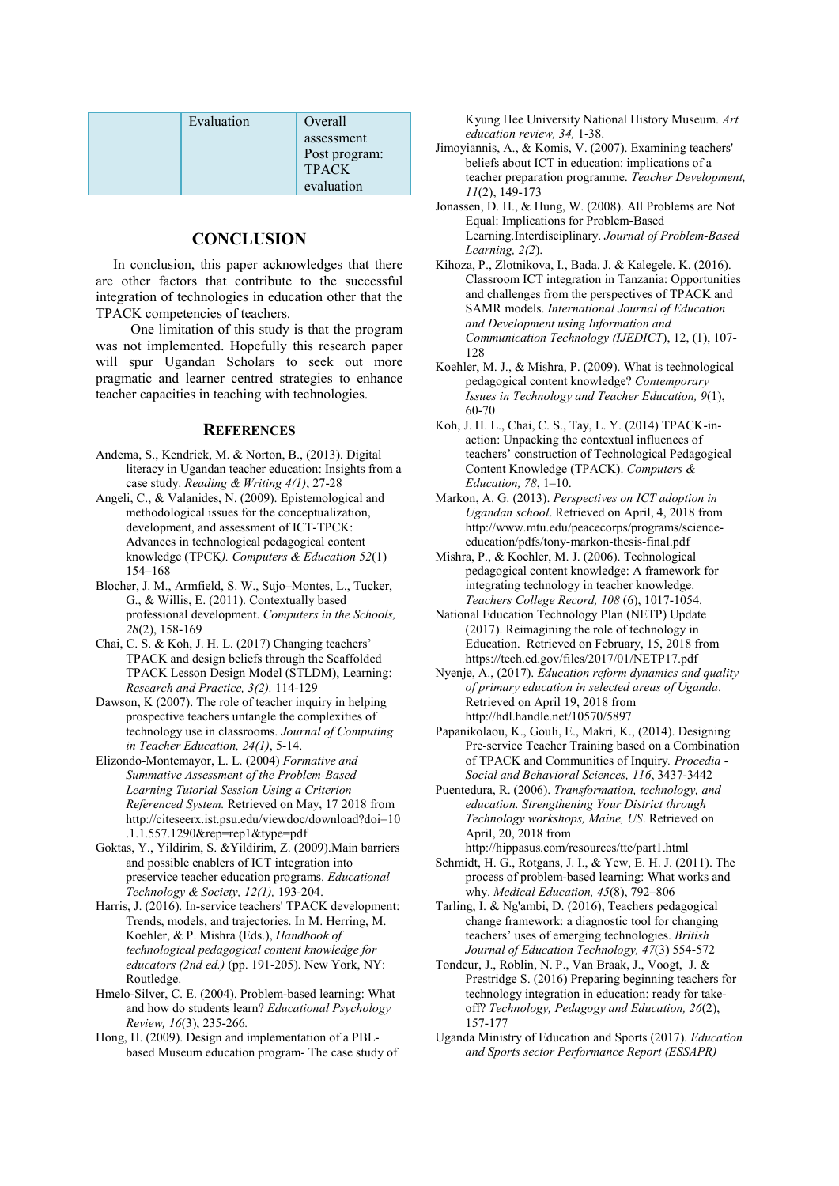| Evaluation | Overall       |
|------------|---------------|
|            | assessment    |
|            | Post program: |
|            | <b>TPACK</b>  |
|            | evaluation    |

# **CONCLUSION**

In conclusion, this paper acknowledges that there are other factors that contribute to the successful integration of technologies in education other that the TPACK competencies of teachers.

 One limitation of this study is that the program was not implemented. Hopefully this research paper will spur Ugandan Scholars to seek out more pragmatic and learner centred strategies to enhance teacher capacities in teaching with technologies.

## **REFERENCES**

- Andema, S., Kendrick, M. & Norton, B., (2013). Digital literacy in Ugandan teacher education: Insights from a case study. *Reading & Writing 4(1)*, 27-28
- Angeli, C., & Valanides, N. (2009). Epistemological and methodological issues for the conceptualization, development, and assessment of ICT-TPCK: Advances in technological pedagogical content knowledge (TPCK*). Computers & Education 52*(1) 154–168
- Blocher, J. M., Armfield, S. W., Sujo–Montes, L., Tucker, G., & Willis, E. (2011). Contextually based professional development. *Computers in the Schools, 28*(2), 158-169
- Chai, C. S. & Koh, J. H. L. (2017) Changing teachers' TPACK and design beliefs through the Scaffolded TPACK Lesson Design Model (STLDM), Learning: *Research and Practice, 3(2),* 114-129
- Dawson, K (2007). The role of teacher inquiry in helping prospective teachers untangle the complexities of technology use in classrooms. *Journal of Computing in Teacher Education, 24(1)*, 5-14.
- Elizondo-Montemayor, L. L. (2004) *Formative and Summative Assessment of the Problem-Based Learning Tutorial Session Using a Criterion Referenced System.* Retrieved on May, 17 2018 from http://citeseerx.ist.psu.edu/viewdoc/download?doi=10 .1.1.557.1290&rep=rep1&type=pdf
- Goktas, Y., Yildirim, S. &Yildirim, Z. (2009).Main barriers and possible enablers of ICT integration into preservice teacher education programs. *Educational Technology & Society, 12(1),* 193-204.
- Harris, J. (2016). In-service teachers' TPACK development: Trends, models, and trajectories. In M. Herring, M. Koehler, & P. Mishra (Eds.), *Handbook of technological pedagogical content knowledge for educators (2nd ed.)* (pp. 191-205). New York, NY: Routledge.
- Hmelo-Silver, C. E. (2004). Problem-based learning: What and how do students learn? *Educational Psychology Review, 16*(3), 235-266*.*
- Hong, H. (2009). Design and implementation of a PBLbased Museum education program- The case study of

Kyung Hee University National History Museum. *Art education review, 34,* 1-38.

- Jimoyiannis, A., & Komis, V. (2007). Examining teachers' beliefs about ICT in education: implications of a teacher preparation programme. *Teacher Development, 11*(2), 149-173
- Jonassen, D. H., & Hung, W. (2008). All Problems are Not Equal: Implications for Problem-Based Learning.Interdisciplinary. *Journal of Problem-Based Learning, 2(2*).
- Kihoza, P., Zlotnikova, I., Bada. J. & Kalegele. K. (2016). Classroom ICT integration in Tanzania: Opportunities and challenges from the perspectives of TPACK and SAMR models. *International Journal of Education and Development using Information and Communication Technology (IJEDICT*), 12, (1), 107- 128
- Koehler, M. J., & Mishra, P. (2009). What is technological pedagogical content knowledge? *Contemporary Issues in Technology and Teacher Education, 9*(1), 60-70
- Koh, J. H. L., Chai, C. S., Tay, L. Y. (2014) TPACK-inaction: Unpacking the contextual influences of teachers' construction of Technological Pedagogical Content Knowledge (TPACK). *Computers & Education, 78*, 1–10.
- Markon, A. G. (2013). *Perspectives on ICT adoption in Ugandan school*. Retrieved on April, 4, 2018 from http://www.mtu.edu/peacecorps/programs/scienceeducation/pdfs/tony-markon-thesis-final.pdf
- Mishra, P., & Koehler, M. J. (2006). Technological pedagogical content knowledge: A framework for integrating technology in teacher knowledge. *Teachers College Record, 108* (6), 1017-1054.
- National Education Technology Plan (NETP) Update (2017). Reimagining the role of technology in Education. Retrieved on February, 15, 2018 from https://tech.ed.gov/files/2017/01/NETP17.pdf
- Nyenje, A., (2017). *Education reform dynamics and quality of primary education in selected areas of Uganda*. Retrieved on April 19, 2018 from http://hdl.handle.net/10570/5897
- Papanikolaou, K., Gouli, E., Makri, K., (2014). Designing Pre-service Teacher Training based on a Combination of TPACK and Communities of Inquiry*. Procedia - Social and Behavioral Sciences, 116*, 3437-3442
- Puentedura, R. (2006). *Transformation, technology, and education. Strengthening Your District through Technology workshops, Maine, US*. Retrieved on April, 20, 2018 from http://hippasus.com/resources/tte/part1.html
- Schmidt, H. G., Rotgans, J. I., & Yew, E. H. J. (2011). The process of problem-based learning: What works and why. *Medical Education, 45*(8), 792–806
- Tarling, I. & Ng'ambi, D. (2016), Teachers pedagogical change framework: a diagnostic tool for changing teachers' uses of emerging technologies. *British Journal of Education Technology, 47*(3) 554-572
- Tondeur, J., Roblin, N. P., Van Braak, J., Voogt, J. & Prestridge S. (2016) Preparing beginning teachers for technology integration in education: ready for takeoff? *Technology, Pedagogy and Education, 26*(2), 157-177
- Uganda Ministry of Education and Sports (2017). *Education and Sports sector Performance Report (ESSAPR)*